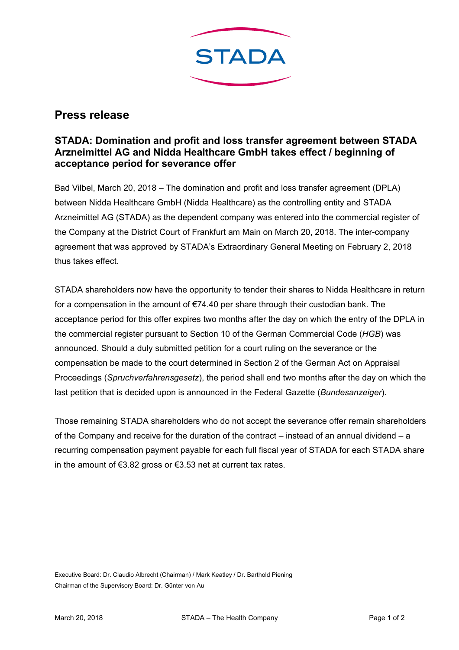

## **Press release**

## **STADA: Domination and profit and loss transfer agreement between STADA Arzneimittel AG and Nidda Healthcare GmbH takes effect / beginning of acceptance period for severance offer**

Bad Vilbel, March 20, 2018 – The domination and profit and loss transfer agreement (DPLA) between Nidda Healthcare GmbH (Nidda Healthcare) as the controlling entity and STADA Arzneimittel AG (STADA) as the dependent company was entered into the commercial register of the Company at the District Court of Frankfurt am Main on March 20, 2018. The inter-company agreement that was approved by STADA's Extraordinary General Meeting on February 2, 2018 thus takes effect.

STADA shareholders now have the opportunity to tender their shares to Nidda Healthcare in return for a compensation in the amount of €74.40 per share through their custodian bank. The acceptance period for this offer expires two months after the day on which the entry of the DPLA in the commercial register pursuant to Section 10 of the German Commercial Code (*HGB*) was announced. Should a duly submitted petition for a court ruling on the severance or the compensation be made to the court determined in Section 2 of the German Act on Appraisal Proceedings (*Spruchverfahrensgesetz*), the period shall end two months after the day on which the last petition that is decided upon is announced in the Federal Gazette (*Bundesanzeiger*).

Those remaining STADA shareholders who do not accept the severance offer remain shareholders of the Company and receive for the duration of the contract – instead of an annual dividend – a recurring compensation payment payable for each full fiscal year of STADA for each STADA share in the amount of €3.82 gross or €3.53 net at current tax rates.

Executive Board: Dr. Claudio Albrecht (Chairman) / Mark Keatley / Dr. Barthold Piening Chairman of the Supervisory Board: Dr. Günter von Au